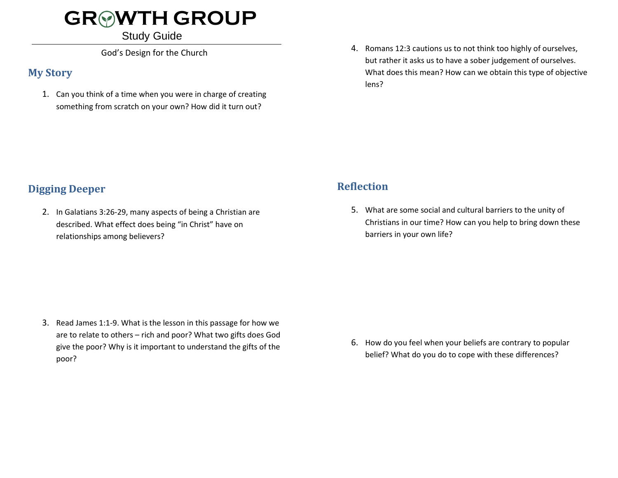# **GR WTH GROUP**

#### Study Guide

God's Design for the Church

### **My Story**

1. Can you think of a time when you were in charge of creating something from scratch on your own? How did it turn out?

4. Romans 12:3 cautions us to not think too highly of ourselves, but rather it asks us to have a sober judgement of ourselves. What does this mean? How can we obtain this type of objective lens?

### **Digging Deeper**

2. In Galatians 3:26-29, many aspects of being a Christian are described. What effect does being "in Christ" have on relationships among believers?

## **Reflection**

5. What are some social and cultural barriers to the unity of Christians in our time? How can you help to bring down these barriers in your own life?

3. Read James 1:1-9. What is the lesson in this passage for how we are to relate to others – rich and poor? What two gifts does God give the poor? Why is it important to understand the gifts of the poor?

6. How do you feel when your beliefs are contrary to popular belief? What do you do to cope with these differences?